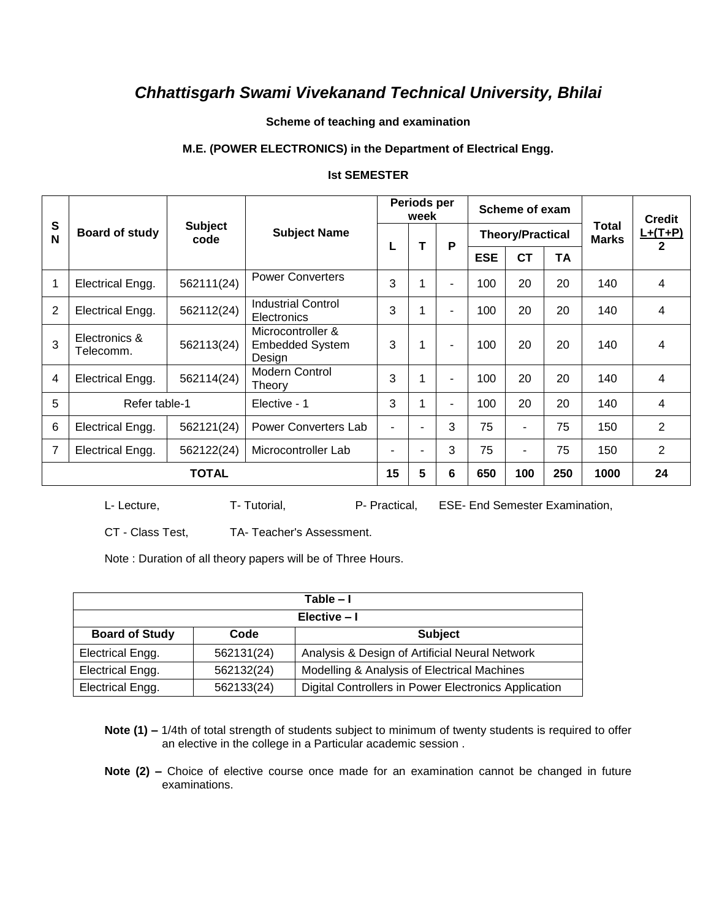#### **Scheme of teaching and examination**

#### **M.E. (POWER ELECTRONICS) in the Department of Electrical Engg.**

#### **Ist SEMESTER**

|                |                            |                        |                                                       | Periods per<br>week |        |                          |            | Scheme of exam          |     |                       | <b>Credit</b>  |  |
|----------------|----------------------------|------------------------|-------------------------------------------------------|---------------------|--------|--------------------------|------------|-------------------------|-----|-----------------------|----------------|--|
| ${\bf S}$<br>N | Board of study             | <b>Subject</b><br>code | <b>Subject Name</b>                                   |                     | т<br>P |                          |            | <b>Theory/Practical</b> |     | <b>Total</b><br>Marks | $L+(T+P)$      |  |
|                |                            |                        |                                                       | L                   |        |                          | <b>ESE</b> | <b>CT</b>               | TA  |                       | $\mathbf{2}$   |  |
| 1              | Electrical Engg.           | 562111(24)             | <b>Power Converters</b>                               | 3                   |        |                          | 100        | 20                      | 20  | 140                   | 4              |  |
| 2              | Electrical Engg.           | 562112(24)             | <b>Industrial Control</b><br>Electronics              | 3                   |        | $\blacksquare$           | 100        | 20                      | 20  | 140                   | 4              |  |
| 3              | Electronics &<br>Telecomm. | 562113(24)             | Microcontroller &<br><b>Embedded System</b><br>Design | 3                   |        | $\blacksquare$           | 100        | 20                      | 20  | 140                   | 4              |  |
| 4              | Electrical Engg.           | 562114(24)             | <b>Modern Control</b><br>Theory                       | 3                   |        | $\overline{\phantom{0}}$ | 100        | 20                      | 20  | 140                   | 4              |  |
| 5              | Refer table-1              |                        | Elective - 1                                          | 3                   |        | $\blacksquare$           | 100        | 20                      | 20  | 140                   | 4              |  |
| 6              | Electrical Engg.           | 562121(24)             | Power Converters Lab                                  | $\blacksquare$      |        | 3                        | 75         | ۰                       | 75  | 150                   | $\overline{2}$ |  |
| $\overline{7}$ | Electrical Engg.           | 562122(24)             | Microcontroller Lab                                   |                     |        | 3                        | 75         | ٠                       | 75  | 150                   | $\overline{2}$ |  |
| TOTAL          |                            |                        |                                                       | 15                  | 5      | 6                        | 650        | 100                     | 250 | 1000                  | 24             |  |

L- Lecture, T- Tutorial, P- Practical, ESE- End Semester Examination,

CT - Class Test, TA- Teacher's Assessment.

Note : Duration of all theory papers will be of Three Hours.

| Table – I                                       |            |                                                      |  |  |  |  |  |  |
|-------------------------------------------------|------------|------------------------------------------------------|--|--|--|--|--|--|
| Elective - I                                    |            |                                                      |  |  |  |  |  |  |
| <b>Board of Study</b><br><b>Subject</b><br>Code |            |                                                      |  |  |  |  |  |  |
| Electrical Engg.                                | 562131(24) | Analysis & Design of Artificial Neural Network       |  |  |  |  |  |  |
| Electrical Engg.                                | 562132(24) | Modelling & Analysis of Electrical Machines          |  |  |  |  |  |  |
| Electrical Engg.                                | 562133(24) | Digital Controllers in Power Electronics Application |  |  |  |  |  |  |

**Note (1) –** 1/4th of total strength of students subject to minimum of twenty students is required to offer an elective in the college in a Particular academic session .

**Note (2) –** Choice of elective course once made for an examination cannot be changed in future examinations.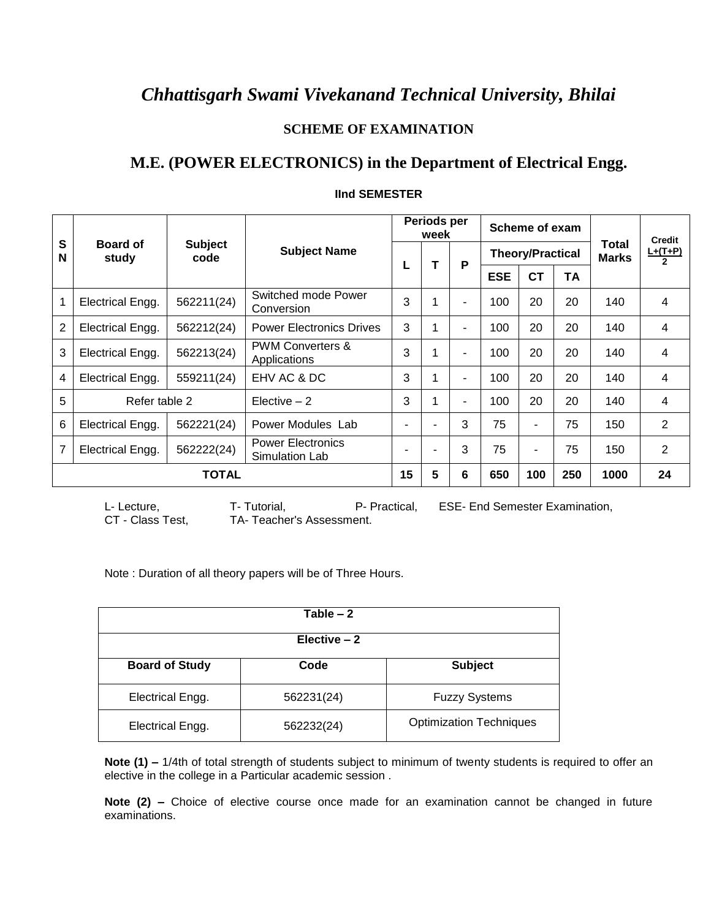### **SCHEME OF EXAMINATION**

# **M.E. (POWER ELECTRONICS) in the Department of Electrical Engg.**

|        |                          |                        |                                             |    | Periods per<br>week |                | Scheme of exam          |           |           |                              | <b>Credit</b><br>$L+(T+P)$<br>$\overline{2}$ |
|--------|--------------------------|------------------------|---------------------------------------------|----|---------------------|----------------|-------------------------|-----------|-----------|------------------------------|----------------------------------------------|
| S<br>N | <b>Board of</b><br>study | <b>Subject</b><br>code | <b>Subject Name</b>                         | L  |                     | P              | <b>Theory/Practical</b> |           |           | <b>Total</b><br><b>Marks</b> |                                              |
|        |                          |                        |                                             |    |                     |                | <b>ESE</b>              | <b>CT</b> | <b>TA</b> |                              |                                              |
|        | Electrical Engg.         | 562211(24)             | Switched mode Power<br>Conversion           | 3  |                     | ۰              | 100                     | 20        | 20        | 140                          | 4                                            |
| 2      | Electrical Engg.         | 562212(24)             | <b>Power Electronics Drives</b>             | 3  |                     | $\blacksquare$ | 100                     | 20        | 20        | 140                          | 4                                            |
| 3      | Electrical Engg.         | 562213(24)             | <b>PWM Converters &amp;</b><br>Applications | 3  |                     | $\blacksquare$ | 100                     | 20        | 20        | 140                          | 4                                            |
| 4      | Electrical Engg.         | 559211(24)             | EHV AC & DC                                 | 3  |                     | ٠              | 100                     | 20        | 20        | 140                          | 4                                            |
| 5      | Refer table 2            |                        | $Electric - 2$                              | 3  |                     | $\blacksquare$ | 100                     | 20        | 20        | 140                          | $\overline{4}$                               |
| 6      | Electrical Engg.         | 562221(24)             | Power Modules Lab                           | ۰  |                     | 3              | 75                      |           | 75        | 150                          | 2                                            |
| 7      | Electrical Engg.         | 562222(24)             | <b>Power Electronics</b><br>Simulation Lab  | ۰  |                     | 3              | 75                      |           | 75        | 150                          | 2                                            |
|        | <b>TOTAL</b>             |                        |                                             | 15 | 5                   | 6              | 650                     | 100       | 250       | 1000                         | 24                                           |

#### **IInd SEMESTER**

L- Lecture, T- Tutorial, P- Practical, ESE- End Semester Examination, CT - Class Test, TA- Teacher's Assessment. TA- Teacher's Assessment.

Note : Duration of all theory papers will be of Three Hours.

| Table $-2$              |            |                                |  |  |  |  |  |
|-------------------------|------------|--------------------------------|--|--|--|--|--|
| Elective $-2$           |            |                                |  |  |  |  |  |
| <b>Board of Study</b>   | Code       | <b>Subject</b>                 |  |  |  |  |  |
| <b>Electrical Engg.</b> | 562231(24) | <b>Fuzzy Systems</b>           |  |  |  |  |  |
| Electrical Engg.        | 562232(24) | <b>Optimization Techniques</b> |  |  |  |  |  |

**Note (1) –** 1/4th of total strength of students subject to minimum of twenty students is required to offer an elective in the college in a Particular academic session .

**Note (2) –** Choice of elective course once made for an examination cannot be changed in future examinations.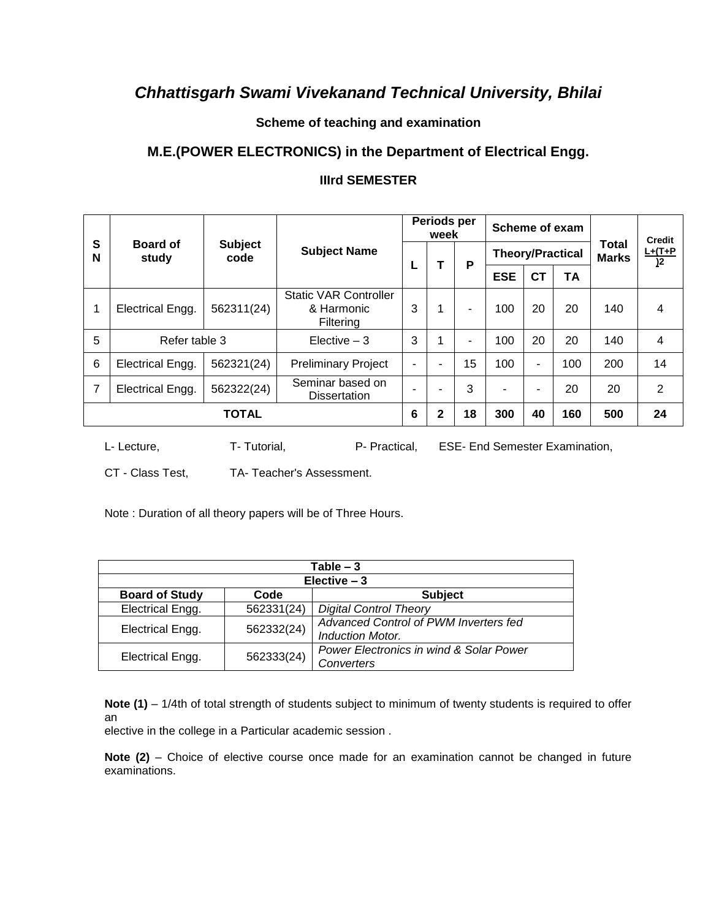### **Scheme of teaching and examination**

# **M.E.(POWER ELECTRONICS) in the Department of Electrical Engg.**

### **IIIrd SEMESTER**

|        |                          |                        |                                                         | Periods per<br>week      |                | Scheme of exam           |                         |                          |           | <b>Credit</b>         |                             |
|--------|--------------------------|------------------------|---------------------------------------------------------|--------------------------|----------------|--------------------------|-------------------------|--------------------------|-----------|-----------------------|-----------------------------|
| S<br>N | <b>Board of</b><br>study | <b>Subject</b><br>code | <b>Subject Name</b>                                     |                          | Т              | P                        | <b>Theory/Practical</b> |                          |           | Total<br><b>Marks</b> | $L+(T+P)$<br>$\overline{2}$ |
|        |                          |                        |                                                         | L                        |                |                          | <b>ESE</b>              | <b>CT</b>                | <b>TA</b> |                       |                             |
|        | Electrical Engg.         | 562311(24)             | <b>Static VAR Controller</b><br>& Harmonic<br>Filtering | 3                        | 1              | ۰                        | 100                     | 20                       | 20        | 140                   | 4                           |
| 5      | Refer table 3            |                        | Elective $-3$                                           | 3                        | 1              | $\overline{\phantom{a}}$ | 100                     | 20                       | 20        | 140                   | 4                           |
| 6      | Electrical Engg.         | 562321(24)             | <b>Preliminary Project</b>                              | $\overline{\phantom{a}}$ | $\blacksquare$ | 15                       | 100                     | $\overline{\phantom{a}}$ | 100       | 200                   | 14                          |
| 7      | <b>Electrical Engg.</b>  | 562322(24)             | Seminar based on<br><b>Dissertation</b>                 |                          | ۰              | 3                        | ٠                       | $\overline{\phantom{0}}$ | 20        | 20                    | 2                           |
|        | TOTAL                    |                        |                                                         |                          | $\mathbf{2}$   | 18                       | 300                     | 40                       | 160       | 500                   | 24                          |

L- Lecture, T- Tutorial, P- Practical, ESE- End Semester Examination,

CT - Class Test, TA- Teacher's Assessment.

Note : Duration of all theory papers will be of Three Hours.

| Table $-3$                                      |            |                                         |  |  |  |  |  |  |
|-------------------------------------------------|------------|-----------------------------------------|--|--|--|--|--|--|
| Elective $-3$                                   |            |                                         |  |  |  |  |  |  |
| <b>Board of Study</b><br><b>Subject</b><br>Code |            |                                         |  |  |  |  |  |  |
| Electrical Engg.                                | 562331(24) | <b>Digital Control Theory</b>           |  |  |  |  |  |  |
|                                                 | 562332(24) | Advanced Control of PWM Inverters fed   |  |  |  |  |  |  |
| Electrical Engg.                                |            | <b>Induction Motor.</b>                 |  |  |  |  |  |  |
|                                                 | 562333(24) | Power Electronics in wind & Solar Power |  |  |  |  |  |  |
| Electrical Engg.                                |            | Converters                              |  |  |  |  |  |  |

**Note (1)** – 1/4th of total strength of students subject to minimum of twenty students is required to offer an

elective in the college in a Particular academic session .

Note (2) - Choice of elective course once made for an examination cannot be changed in future examinations.